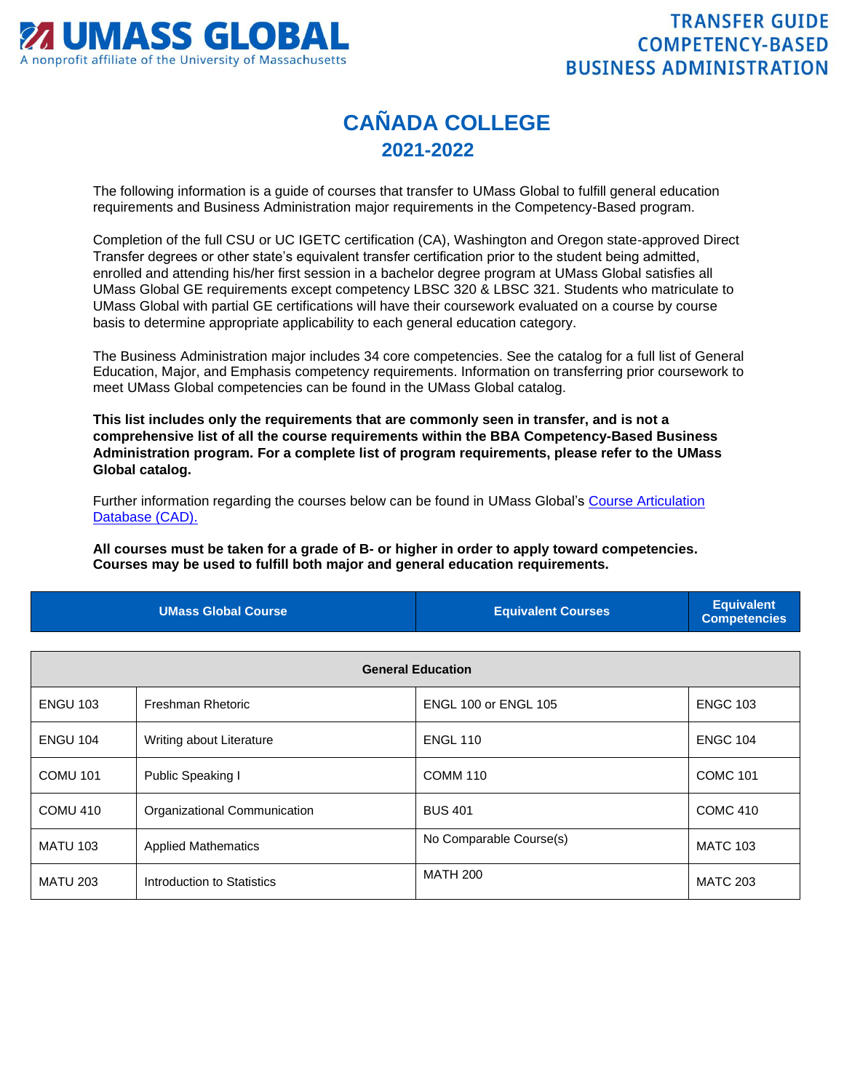

## **CAÑADA COLLEGE 2021-2022**

The following information is a guide of courses that transfer to UMass Global to fulfill general education requirements and Business Administration major requirements in the Competency-Based program.

Completion of the full CSU or UC IGETC certification (CA), Washington and Oregon state-approved Direct Transfer degrees or other state's equivalent transfer certification prior to the student being admitted, enrolled and attending his/her first session in a bachelor degree program at UMass Global satisfies all UMass Global GE requirements except competency LBSC 320 & LBSC 321. Students who matriculate to UMass Global with partial GE certifications will have their coursework evaluated on a course by course basis to determine appropriate applicability to each general education category.

The Business Administration major includes 34 core competencies. See the catalog for a full list of General Education, Major, and Emphasis competency requirements. Information on transferring prior coursework to meet UMass Global competencies can be found in the UMass Global catalog.

**This list includes only the requirements that are commonly seen in transfer, and is not a comprehensive list of all the course requirements within the BBA Competency-Based Business Administration program. For a complete list of program requirements, please refer to the UMass Global catalog.**

Further information regarding the courses below can be found in UMass Global's [Course Articulation](http://services.umassglobal.edu/studentservices/TransferCredit/)  [Database \(CAD\).](http://services.umassglobal.edu/studentservices/TransferCredit/) 

**All courses must be taken for a grade of B- or higher in order to apply toward competencies. Courses may be used to fulfill both major and general education requirements.** 

| <b>UMass Global Course</b> | <b>Equivalent Courses</b> | <b>Equivalent</b><br><b>Competencies</b> |
|----------------------------|---------------------------|------------------------------------------|
|                            |                           |                                          |

| <b>General Education</b> |                              |                             |                 |
|--------------------------|------------------------------|-----------------------------|-----------------|
| <b>ENGU 103</b>          | Freshman Rhetoric            | <b>ENGL 100 or ENGL 105</b> | <b>ENGC 103</b> |
| <b>ENGU 104</b>          | Writing about Literature     | <b>ENGL 110</b>             | <b>ENGC 104</b> |
| <b>COMU 101</b>          | Public Speaking I            | <b>COMM 110</b>             | <b>COMC 101</b> |
| COMU 410                 | Organizational Communication | <b>BUS 401</b>              | <b>COMC 410</b> |
| <b>MATU 103</b>          | <b>Applied Mathematics</b>   | No Comparable Course(s)     | <b>MATC 103</b> |
| <b>MATU 203</b>          | Introduction to Statistics   | <b>MATH 200</b>             | <b>MATC 203</b> |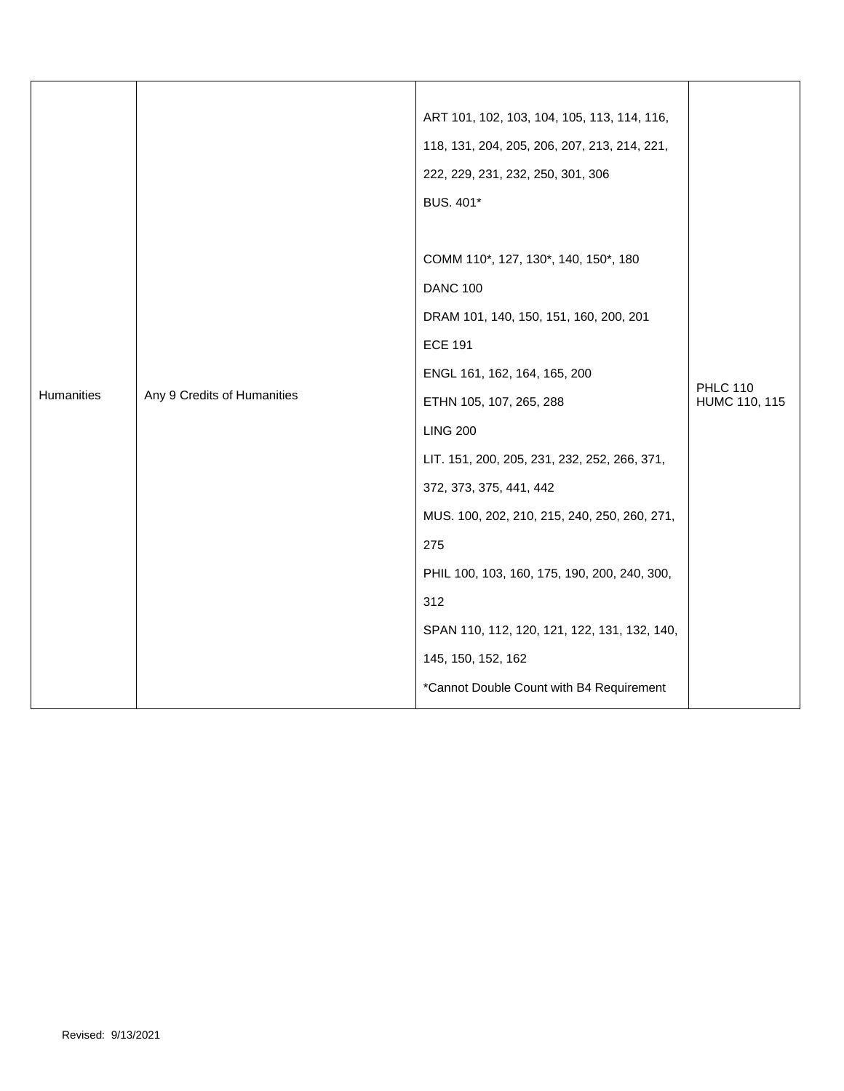| ART 101, 102, 103, 104, 105, 113, 114, 116,<br>118, 131, 204, 205, 206, 207, 213, 214, 221,<br>222, 229, 231, 232, 250, 301, 306<br>BUS. 401*<br>COMM 110*, 127, 130*, 140, 150*, 180<br><b>DANC 100</b><br>DRAM 101, 140, 150, 151, 160, 200, 201<br><b>ECE 191</b><br>ENGL 161, 162, 164, 165, 200<br><b>PHLC 110</b><br>Humanities<br>Any 9 Credits of Humanities<br>HUMC 110, 115<br>ETHN 105, 107, 265, 288<br><b>LING 200</b><br>LIT. 151, 200, 205, 231, 232, 252, 266, 371,<br>372, 373, 375, 441, 442<br>MUS. 100, 202, 210, 215, 240, 250, 260, 271,<br>275<br>PHIL 100, 103, 160, 175, 190, 200, 240, 300,<br>312<br>SPAN 110, 112, 120, 121, 122, 131, 132, 140,<br>145, 150, 152, 162 |  |  |                                          |  |
|----------------------------------------------------------------------------------------------------------------------------------------------------------------------------------------------------------------------------------------------------------------------------------------------------------------------------------------------------------------------------------------------------------------------------------------------------------------------------------------------------------------------------------------------------------------------------------------------------------------------------------------------------------------------------------------------------|--|--|------------------------------------------|--|
|                                                                                                                                                                                                                                                                                                                                                                                                                                                                                                                                                                                                                                                                                                    |  |  |                                          |  |
|                                                                                                                                                                                                                                                                                                                                                                                                                                                                                                                                                                                                                                                                                                    |  |  |                                          |  |
|                                                                                                                                                                                                                                                                                                                                                                                                                                                                                                                                                                                                                                                                                                    |  |  |                                          |  |
|                                                                                                                                                                                                                                                                                                                                                                                                                                                                                                                                                                                                                                                                                                    |  |  |                                          |  |
|                                                                                                                                                                                                                                                                                                                                                                                                                                                                                                                                                                                                                                                                                                    |  |  |                                          |  |
|                                                                                                                                                                                                                                                                                                                                                                                                                                                                                                                                                                                                                                                                                                    |  |  |                                          |  |
|                                                                                                                                                                                                                                                                                                                                                                                                                                                                                                                                                                                                                                                                                                    |  |  |                                          |  |
|                                                                                                                                                                                                                                                                                                                                                                                                                                                                                                                                                                                                                                                                                                    |  |  |                                          |  |
|                                                                                                                                                                                                                                                                                                                                                                                                                                                                                                                                                                                                                                                                                                    |  |  |                                          |  |
|                                                                                                                                                                                                                                                                                                                                                                                                                                                                                                                                                                                                                                                                                                    |  |  |                                          |  |
|                                                                                                                                                                                                                                                                                                                                                                                                                                                                                                                                                                                                                                                                                                    |  |  |                                          |  |
|                                                                                                                                                                                                                                                                                                                                                                                                                                                                                                                                                                                                                                                                                                    |  |  |                                          |  |
|                                                                                                                                                                                                                                                                                                                                                                                                                                                                                                                                                                                                                                                                                                    |  |  |                                          |  |
|                                                                                                                                                                                                                                                                                                                                                                                                                                                                                                                                                                                                                                                                                                    |  |  |                                          |  |
|                                                                                                                                                                                                                                                                                                                                                                                                                                                                                                                                                                                                                                                                                                    |  |  |                                          |  |
|                                                                                                                                                                                                                                                                                                                                                                                                                                                                                                                                                                                                                                                                                                    |  |  |                                          |  |
|                                                                                                                                                                                                                                                                                                                                                                                                                                                                                                                                                                                                                                                                                                    |  |  |                                          |  |
|                                                                                                                                                                                                                                                                                                                                                                                                                                                                                                                                                                                                                                                                                                    |  |  |                                          |  |
|                                                                                                                                                                                                                                                                                                                                                                                                                                                                                                                                                                                                                                                                                                    |  |  |                                          |  |
|                                                                                                                                                                                                                                                                                                                                                                                                                                                                                                                                                                                                                                                                                                    |  |  |                                          |  |
|                                                                                                                                                                                                                                                                                                                                                                                                                                                                                                                                                                                                                                                                                                    |  |  | *Cannot Double Count with B4 Requirement |  |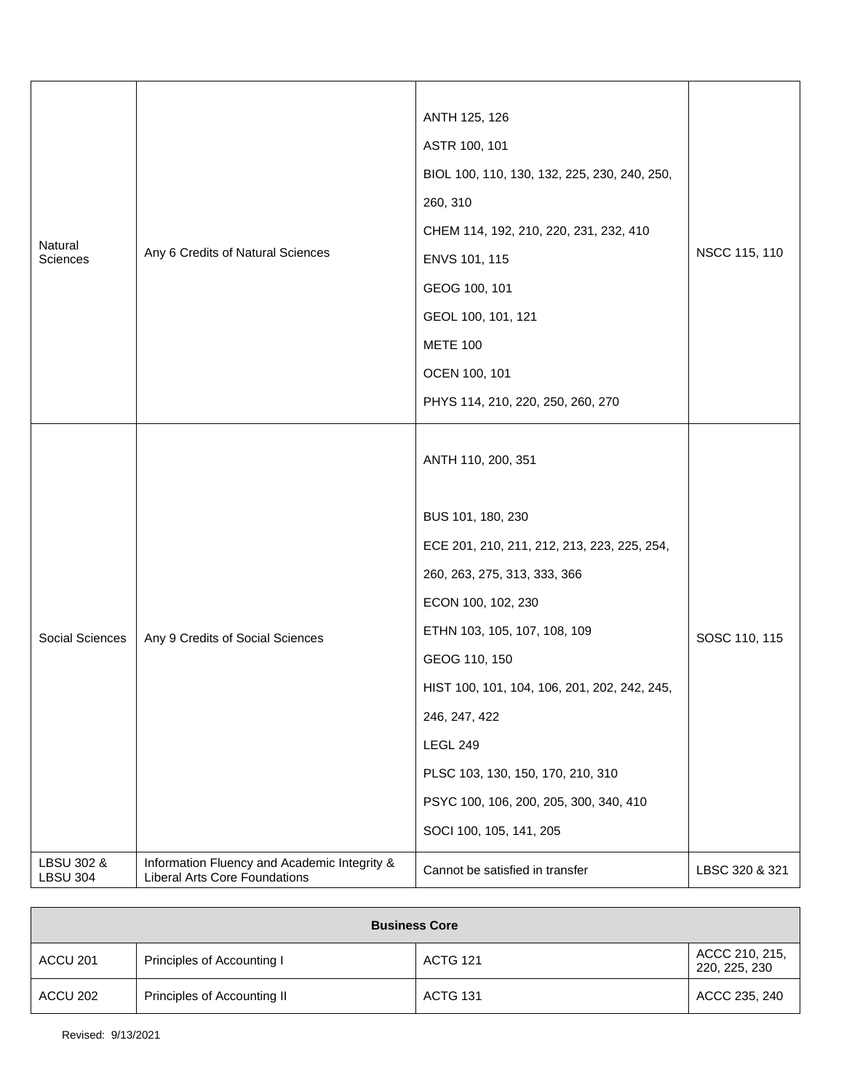| Natural<br>Sciences           | Any 6 Credits of Natural Sciences                                                    | ANTH 125, 126<br>ASTR 100, 101<br>BIOL 100, 110, 130, 132, 225, 230, 240, 250,<br>260, 310<br>CHEM 114, 192, 210, 220, 231, 232, 410<br>ENVS 101, 115<br>GEOG 100, 101<br>GEOL 100, 101, 121<br><b>METE 100</b><br>OCEN 100, 101<br>PHYS 114, 210, 220, 250, 260, 270                                                                                                                       | NSCC 115, 110  |
|-------------------------------|--------------------------------------------------------------------------------------|---------------------------------------------------------------------------------------------------------------------------------------------------------------------------------------------------------------------------------------------------------------------------------------------------------------------------------------------------------------------------------------------|----------------|
| Social Sciences               | Any 9 Credits of Social Sciences                                                     | ANTH 110, 200, 351<br>BUS 101, 180, 230<br>ECE 201, 210, 211, 212, 213, 223, 225, 254,<br>260, 263, 275, 313, 333, 366<br>ECON 100, 102, 230<br>ETHN 103, 105, 107, 108, 109<br>GEOG 110, 150<br>HIST 100, 101, 104, 106, 201, 202, 242, 245,<br>246, 247, 422<br><b>LEGL 249</b><br>PLSC 103, 130, 150, 170, 210, 310<br>PSYC 100, 106, 200, 205, 300, 340, 410<br>SOCI 100, 105, 141, 205 | SOSC 110, 115  |
| LBSU 302 &<br><b>LBSU 304</b> | Information Fluency and Academic Integrity &<br><b>Liberal Arts Core Foundations</b> | Cannot be satisfied in transfer                                                                                                                                                                                                                                                                                                                                                             | LBSC 320 & 321 |

| <b>Business Core</b> |                             |                 |                                 |
|----------------------|-----------------------------|-----------------|---------------------------------|
| ACCU 201             | Principles of Accounting I  | <b>ACTG 121</b> | ACCC 210, 215,<br>220, 225, 230 |
| ACCU 202             | Principles of Accounting II | <b>ACTG 131</b> | ACCC 235, 240                   |